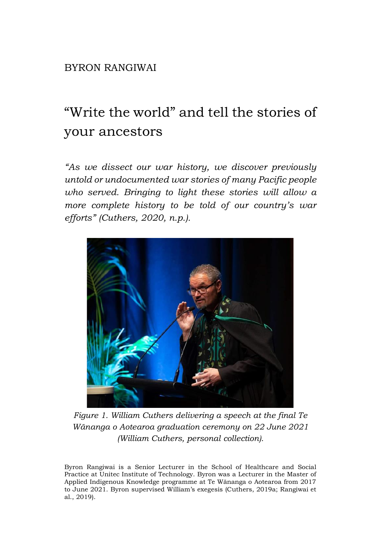## BYRON RANGIWAI

## "Write the world" and tell the stories of your ancestors

*"As we dissect our war history, we discover previously untold or undocumented war stories of many Pacific people who served. Bringing to light these stories will allow a more complete history to be told of our country's war efforts" (Cuthers, 2020, n.p.).*



*Figure 1. William Cuthers delivering a speech at the final Te Wānanga o Aotearoa graduation ceremony on 22 June 2021 (William Cuthers, personal collection).*

Byron Rangiwai is a Senior Lecturer in the School of Healthcare and Social Practice at Unitec Institute of Technology. Byron was a Lecturer in the Master of Applied Indigenous Knowledge programme at Te Wānanga o Aotearoa from 2017 to June 2021. Byron supervised William's exegesis (Cuthers, 2019a; Rangiwai et al., 2019).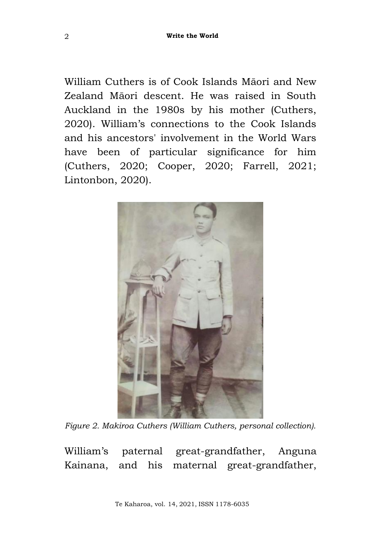William Cuthers is of Cook Islands Māori and New Zealand Māori descent. He was raised in South Auckland in the 1980s by his mother (Cuthers, 2020). William's connections to the Cook Islands and his ancestors' involvement in the World Wars have been of particular significance for him (Cuthers, 2020; Cooper, 2020; Farrell, 2021; Lintonbon, 2020).



*Figure 2. Makiroa Cuthers (William Cuthers, personal collection).*

William's paternal great-grandfather, Anguna Kainana, and his maternal great-grandfather,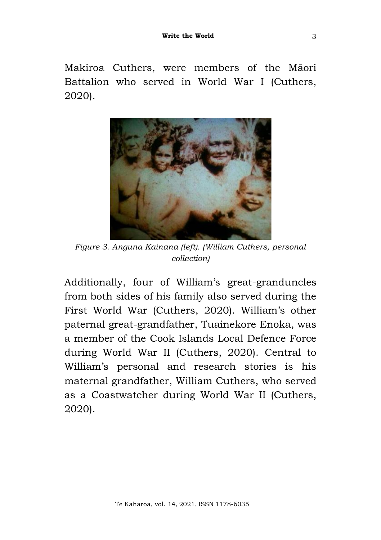Makiroa Cuthers, were members of the Māori Battalion who served in World War I (Cuthers, 2020).



*Figure 3. Anguna Kainana (left). (William Cuthers, personal collection)*

Additionally, four of William's great-granduncles from both sides of his family also served during the First World War (Cuthers, 2020). William's other paternal great-grandfather, Tuainekore Enoka, was a member of the Cook Islands Local Defence Force during World War II (Cuthers, 2020). Central to William's personal and research stories is his maternal grandfather, William Cuthers, who served as a Coastwatcher during World War II (Cuthers, 2020).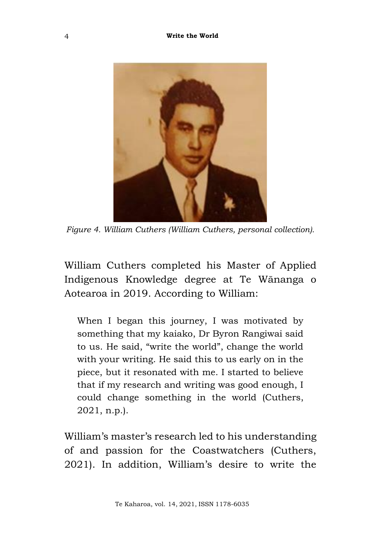

*Figure 4. William Cuthers (William Cuthers, personal collection).*

William Cuthers completed his Master of Applied Indigenous Knowledge degree at Te Wānanga o Aotearoa in 2019. According to William:

When I began this journey, I was motivated by something that my kaiako, Dr Byron Rangiwai said to us. He said, "write the world", change the world with your writing. He said this to us early on in the piece, but it resonated with me. I started to believe that if my research and writing was good enough, I could change something in the world (Cuthers, 2021, n.p.).

William's master's research led to his understanding of and passion for the Coastwatchers (Cuthers, 2021). In addition, William's desire to write the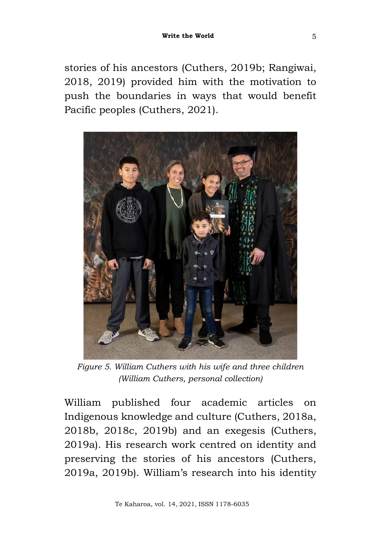stories of his ancestors (Cuthers, 2019b; Rangiwai, 2018, 2019) provided him with the motivation to push the boundaries in ways that would benefit Pacific peoples (Cuthers, 2021).



*Figure 5. William Cuthers with his wife and three children (William Cuthers, personal collection)*

William published four academic articles on Indigenous knowledge and culture (Cuthers, 2018a, 2018b, 2018c, 2019b) and an exegesis (Cuthers, 2019a). His research work centred on identity and preserving the stories of his ancestors (Cuthers, 2019a, 2019b). William's research into his identity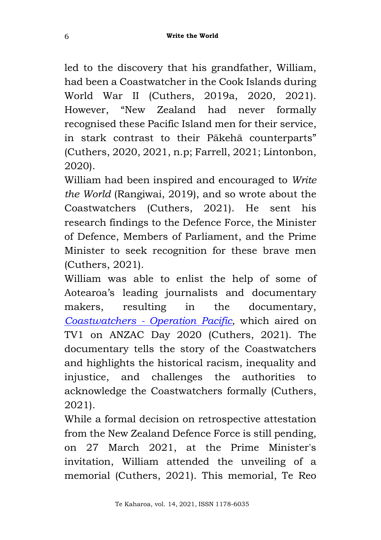led to the discovery that his grandfather, William, had been a Coastwatcher in the Cook Islands during World War II (Cuthers, 2019a, 2020, 2021). However, "New Zealand had never formally recognised these Pacific Island men for their service, in stark contrast to their Pākehā counterparts" (Cuthers, 2020, 2021, n.p; Farrell, 2021; Lintonbon, 2020).

William had been inspired and encouraged to *Write the World* (Rangiwai, 2019), and so wrote about the Coastwatchers (Cuthers, 2021). He sent his research findings to the Defence Force, the Minister of Defence, Members of Parliament, and the Prime Minister to seek recognition for these brave men (Cuthers, 2021).

William was able to enlist the help of some of Aotearoa's leading journalists and documentary makers, resulting in the documentary, *Coastwatchers - [Operation Pacific,](https://www.tvnz.co.nz/shows/coastwatchers-operation-pacific)* which aired on TV1 on ANZAC Day 2020 (Cuthers, 2021). The documentary tells the story of the Coastwatchers and highlights the historical racism, inequality and injustice, and challenges the authorities to acknowledge the Coastwatchers formally (Cuthers, 2021).

While a formal decision on retrospective attestation from the New Zealand Defence Force is still pending, on 27 March 2021, at the Prime Minister's invitation, William attended the unveiling of a memorial (Cuthers, 2021). This memorial, Te Reo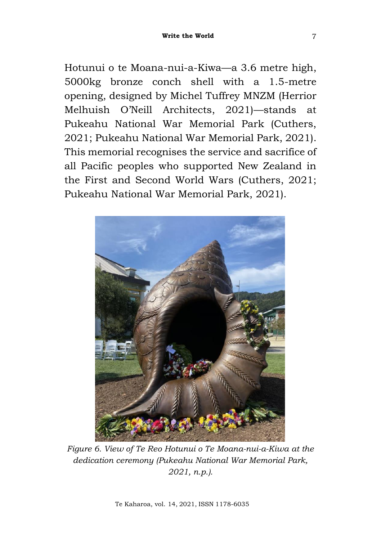7

Hotunui o te Moana-nui-a-Kiwa—a 3.6 metre high, 5000kg bronze conch shell with a 1.5-metre opening, designed by Michel Tuffrey MNZM (Herrior Melhuish O'Neill Architects, 2021)—stands at Pukeahu National War Memorial Park (Cuthers, 2021; Pukeahu National War Memorial Park, 2021). This memorial recognises the service and sacrifice of all Pacific peoples who supported New Zealand in the First and Second World Wars (Cuthers, 2021; Pukeahu National War Memorial Park, 2021).



*Figure 6. View of Te Reo Hotunui o Te Moana-nui-a-Kiwa at the dedication ceremony (Pukeahu National War Memorial Park, 2021, n.p.).*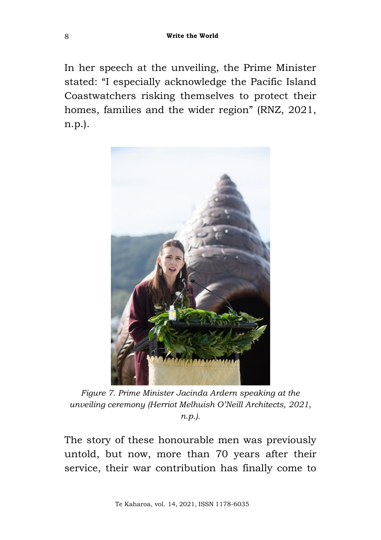In her speech at the unveiling, the Prime Minister stated: "I especially acknowledge the Pacific Island Coastwatchers risking themselves to protect their homes, families and the wider region" (RNZ, 2021, n.p.).



*Figure 7. Prime Minister Jacinda Ardern speaking at the unveiling ceremony (Herriot Melhuish O'Neill Architects, 2021, n.p.).*

The story of these honourable men was previously untold, but now, more than 70 years after their service, their war contribution has finally come to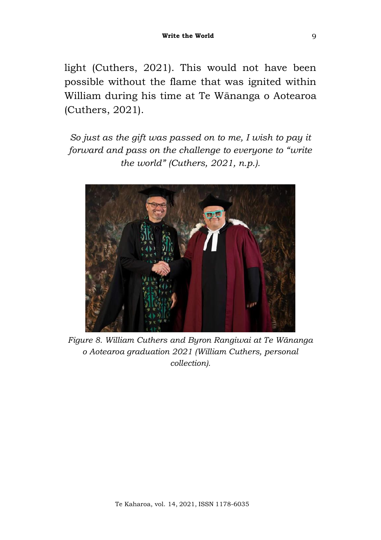light (Cuthers, 2021). This would not have been possible without the flame that was ignited within William during his time at Te Wānanga o Aotearoa (Cuthers, 2021).

*So just as the gift was passed on to me, I wish to pay it forward and pass on the challenge to everyone to "write the world" (Cuthers, 2021, n.p.).*



*Figure 8. William Cuthers and Byron Rangiwai at Te Wānanga o Aotearoa graduation 2021 (William Cuthers, personal collection).*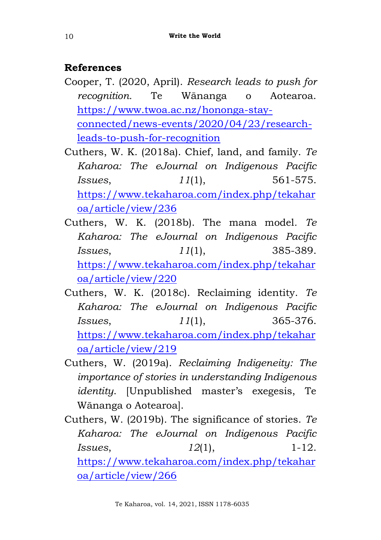## **References**

- Cooper, T. (2020, April). *Research leads to push for recognition.* Te Wānanga o Aotearoa. [https://www.twoa.ac.nz/hononga-stay](https://www.twoa.ac.nz/hononga-stay-connected/news-events/2020/04/23/research-leads-to-push-for-recognition)[connected/news-events/2020/04/23/research](https://www.twoa.ac.nz/hononga-stay-connected/news-events/2020/04/23/research-leads-to-push-for-recognition)[leads-to-push-for-recognition](https://www.twoa.ac.nz/hononga-stay-connected/news-events/2020/04/23/research-leads-to-push-for-recognition)
- Cuthers, W. K. (2018a). Chief, land, and family. *Te Kaharoa: The eJournal on Indigenous Pacific Issues*, *11*(1), 561-575. [https://www.tekaharoa.com/index.php/tekahar](https://www.tekaharoa.com/index.php/tekaharoa/article/view/236) [oa/article/view/236](https://www.tekaharoa.com/index.php/tekaharoa/article/view/236)
- Cuthers, W. K. (2018b). The mana model*. Te Kaharoa: The eJournal on Indigenous Pacific Issues*, *11*(1), 385-389. [https://www.tekaharoa.com/index.php/tekahar](https://www.tekaharoa.com/index.php/tekaharoa/article/view/220) [oa/article/view/220](https://www.tekaharoa.com/index.php/tekaharoa/article/view/220)
- Cuthers, W. K. (2018c). Reclaiming identity. *Te Kaharoa: The eJournal on Indigenous Pacific Issues*, *11*(1), 365-376. [https://www.tekaharoa.com/index.php/tekahar](https://www.tekaharoa.com/index.php/tekaharoa/article/view/219) [oa/article/view/219](https://www.tekaharoa.com/index.php/tekaharoa/article/view/219)
- Cuthers, W. (2019a). *Reclaiming Indigeneity: The importance of stories in understanding Indigenous identity*. [Unpublished master's exegesis, Te Wānanga o Aotearoa].
- Cuthers, W. (2019b). The significance of stories. *Te Kaharoa: The eJournal on Indigenous Pacific Issues*, *12*(1), 1-12. [https://www.tekaharoa.com/index.php/tekahar](https://www.tekaharoa.com/index.php/tekaharoa/article/view/266) [oa/article/view/266](https://www.tekaharoa.com/index.php/tekaharoa/article/view/266)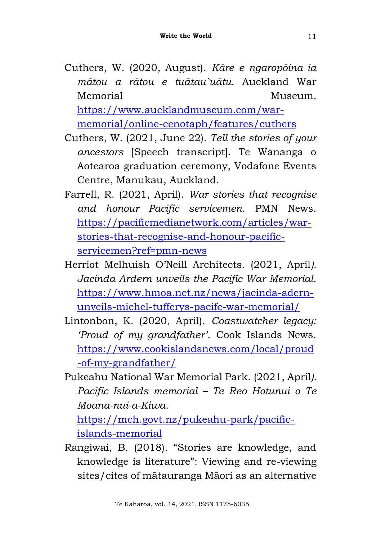- Cuthers, W. (2020, August). *Kāre e ngaropōina ia mātou a rātou e tuātau`uātu.* Auckland War Memorial Museum. [https://www.aucklandmuseum.com/war](https://www.aucklandmuseum.com/war-memorial/online-cenotaph/features/cuthers)[memorial/online-cenotaph/features/cuthers](https://www.aucklandmuseum.com/war-memorial/online-cenotaph/features/cuthers)
- Cuthers, W. (2021, June 22). *Tell the stories of your ancestors* [Speech transcript]. Te Wānanga o Aotearoa graduation ceremony, Vodafone Events Centre, Manukau, Auckland.
- Farrell, R. (2021, April). *War stories that recognise and honour Pacific servicemen*. PMN News. [https://pacificmedianetwork.com/articles/war](https://pacificmedianetwork.com/articles/war-stories-that-recognise-and-honour-pacific-servicemen?ref=pmn-news)[stories-that-recognise-and-honour-pacific](https://pacificmedianetwork.com/articles/war-stories-that-recognise-and-honour-pacific-servicemen?ref=pmn-news)[servicemen?ref=pmn-news](https://pacificmedianetwork.com/articles/war-stories-that-recognise-and-honour-pacific-servicemen?ref=pmn-news)
- Herriot Melhuish O'Neill Architects. (2021, April*). Jacinda Ardern unveils the Pacific War Memorial*. [https://www.hmoa.net.nz/news/jacinda-adern](https://www.hmoa.net.nz/news/jacinda-adern-unveils-michel-tufferys-pacifc-war-memorial/)[unveils-michel-tufferys-pacifc-war-memorial/](https://www.hmoa.net.nz/news/jacinda-adern-unveils-michel-tufferys-pacifc-war-memorial/)
- Lintonbon, K. (2020, April). *Coastwatcher legacy: 'Proud of my grandfather'*. Cook Islands News. [https://www.cookislandsnews.com/local/proud](https://www.cookislandsnews.com/local/proud-of-my-grandfather/) [-of-my-grandfather/](https://www.cookislandsnews.com/local/proud-of-my-grandfather/)
- Pukeahu National War Memorial Park. (2021, April*). Pacific Islands memorial – Te Reo Hotunui o Te Moana-nui-a-Kiwa*.

[https://mch.govt.nz/pukeahu-park/pacific](https://mch.govt.nz/pukeahu-park/pacific-islands-memorial)[islands-memorial](https://mch.govt.nz/pukeahu-park/pacific-islands-memorial)

Rangiwai, B. (2018). "Stories are knowledge, and knowledge is literature": Viewing and re-viewing sites/cites of mātauranga Māori as an alternative